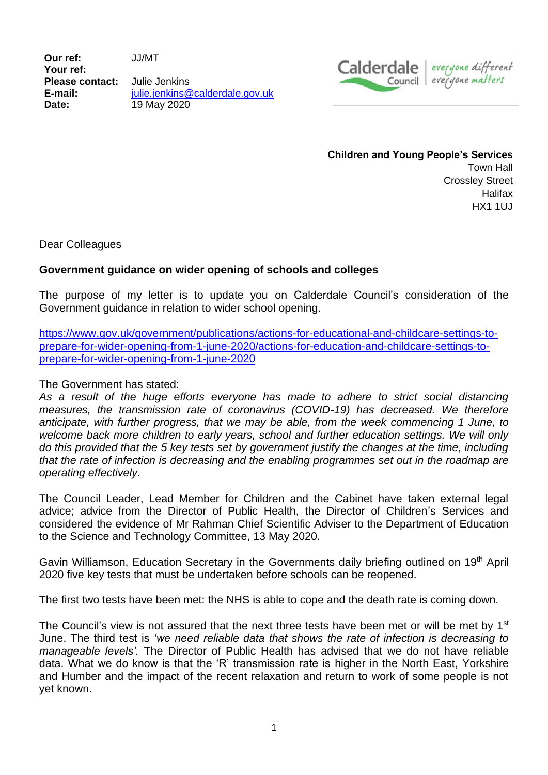**Our ref:** JJ/MT **Your ref: Please contact:** Julie Jenkins **E-mail:** [julie.jenkins@calderdale.gov.uk](mailto:julie.jenkins@calderdale.gov.uk) **Date:** 19 May 2020



**Children and Young People's Services** Town Hall Crossley Street **Halifax** HX1 1UJ

Dear Colleagues

## **Government guidance on wider opening of schools and colleges**

The purpose of my letter is to update you on Calderdale Council's consideration of the Government guidance in relation to wider school opening.

[https://www.gov.uk/government/publications/actions-for-educational-and-childcare-settings-to](https://www.gov.uk/government/publications/actions-for-educational-and-childcare-settings-to-prepare-for-wider-opening-from-1-june-2020/actions-for-education-and-childcare-settings-to-prepare-for-wider-opening-from-1-june-2020)[prepare-for-wider-opening-from-1-june-2020/actions-for-education-and-childcare-settings-to](https://www.gov.uk/government/publications/actions-for-educational-and-childcare-settings-to-prepare-for-wider-opening-from-1-june-2020/actions-for-education-and-childcare-settings-to-prepare-for-wider-opening-from-1-june-2020)[prepare-for-wider-opening-from-1-june-2020](https://www.gov.uk/government/publications/actions-for-educational-and-childcare-settings-to-prepare-for-wider-opening-from-1-june-2020/actions-for-education-and-childcare-settings-to-prepare-for-wider-opening-from-1-june-2020)

## The Government has stated:

*As a result of the huge efforts everyone has made to adhere to strict social distancing measures, the transmission rate of coronavirus (COVID-19) has decreased. We therefore anticipate, with further progress, that we may be able, from the week commencing 1 June, to welcome back more children to early years, school and further education settings. We will only do this provided that the 5 key tests set by government justify the changes at the time, including that the rate of infection is decreasing and the enabling programmes set out in the roadmap are operating effectively.*

The Council Leader, Lead Member for Children and the Cabinet have taken external legal advice; advice from the Director of Public Health, the Director of Children's Services and considered the evidence of Mr Rahman Chief Scientific Adviser to the Department of Education to the Science and Technology Committee, 13 May 2020.

Gavin Williamson, Education Secretary in the Governments daily briefing outlined on 19th April 2020 five key tests that must be undertaken before schools can be reopened.

The first two tests have been met: the NHS is able to cope and the death rate is coming down.

The Council's view is not assured that the next three tests have been met or will be met by 1<sup>st</sup> June. The third test is *'we need reliable data that shows the rate of infection is decreasing to manageable levels'.* The Director of Public Health has advised that we do not have reliable data. What we do know is that the 'R' transmission rate is higher in the North East, Yorkshire and Humber and the impact of the recent relaxation and return to work of some people is not yet known.